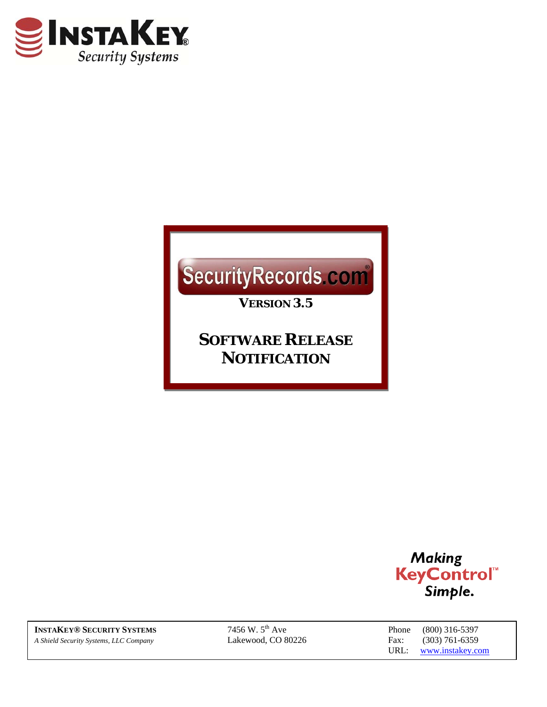

# SecurityRecords.com

*VERSION 3.5* 

*SOFTWARE RELEASE NOTIFICATION*



**INSTAKEY® SECURITY SYSTEMS** 7456 W. 5<sup>th</sup> Ave *A Shield Security Systems, LLC Company* Lakewood, CO 80226 Fax: (303) 761-6359

Phone (800) 316-5397 URL: www.instakey.com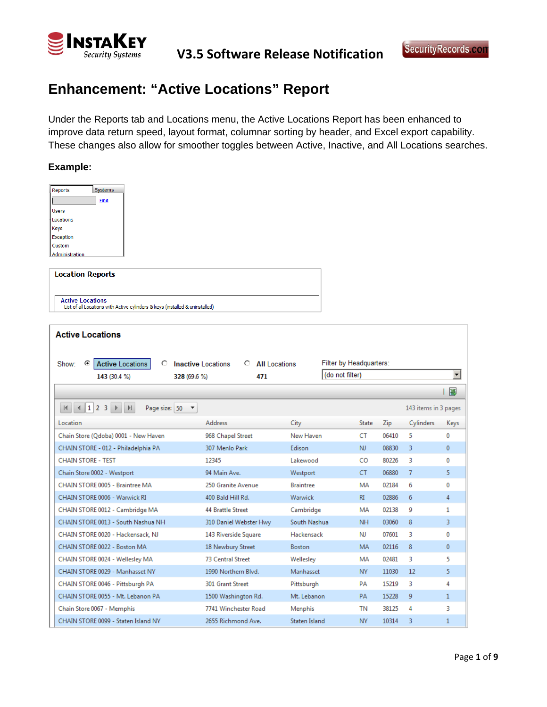

# **Enhancement: "Active Locations" Report**

Under the Reports tab and Locations menu, the Active Locations Report has been enhanced to improve data return speed, layout format, columnar sorting by header, and Excel export capability. These changes also allow for smoother toggles between Active, Inactive, and All Locations searches.

#### **Example:**

| Systems<br>Reports<br><b>Find</b><br><b>Users</b><br>Locations<br>Keys<br><b>Exception</b><br>Custom         |                                                                |                  |                         |       |                      |              |
|--------------------------------------------------------------------------------------------------------------|----------------------------------------------------------------|------------------|-------------------------|-------|----------------------|--------------|
| Administration<br><b>Location Reports</b>                                                                    |                                                                |                  |                         |       |                      |              |
|                                                                                                              |                                                                |                  |                         |       |                      |              |
| <b>Active Locations</b><br>List of all Locations with Active cylinders & keys (installed & uninstalled)      |                                                                |                  |                         |       |                      |              |
| <b>Active Locations</b>                                                                                      |                                                                |                  |                         |       |                      |              |
|                                                                                                              |                                                                |                  |                         |       |                      |              |
| ⊙<br>Show:<br><b>Active Locations</b><br>O<br>143 (30.4 %)<br>328 (69.6 %)                                   | <b>Inactive Locations</b><br><b>All Locations</b><br>O.<br>471 | (do not filter)  | Filter by Headquarters: |       |                      | ▾╎           |
|                                                                                                              |                                                                |                  |                         |       |                      |              |
|                                                                                                              |                                                                |                  |                         |       |                      | 圏            |
| $\vert A \vert \vert A \vert \vert 1 \vert 2 \vert 3 \vert \vert \vert \vert \vert \vert$<br>Page size: 50 - |                                                                |                  |                         |       | 143 items in 3 pages |              |
| Location                                                                                                     | <b>Address</b>                                                 | City             | State                   | Zip   | Cylinders            | Keys         |
| Chain Store (Qdoba) 0001 - New Haven                                                                         | 968 Chapel Street                                              | New Haven        | <b>CT</b>               | 06410 | 5                    | 0            |
| CHAIN STORE - 012 - Philadelphia PA                                                                          | 307 Menlo Park                                                 | Edison           | NJ.                     | 08830 | 3                    | $\mathbf{0}$ |
| <b>CHAIN STORE - TEST</b>                                                                                    | 12345                                                          | Lakewood         | CO.                     | 80226 | 3                    | 0            |
| Chain Store 0002 - Westport                                                                                  | 94 Main Ave.                                                   | Westport         | CT.                     | 06880 | $\overline{7}$       | 5            |
| CHAIN STORE 0005 - Braintree MA                                                                              | 250 Granite Avenue                                             | <b>Braintree</b> | MA                      | 02184 | 6                    | 0            |
| CHAIN STORE 0006 - Warwick RI                                                                                | 400 Bald Hill Rd.                                              | Warwick          | RI                      | 02886 | 6                    | 4            |
| CHAIN STORE 0012 - Cambridge MA                                                                              | <b>44 Brattle Street</b>                                       | Cambridge        | MA                      | 02138 | g                    | 1            |
| CHAIN STORE 0013 - South Nashua NH                                                                           | 310 Daniel Webster Hwy                                         | South Nashua     | <b>NH</b>               | 03060 | 8                    | 3            |
| CHAIN STORE 0020 - Hackensack, NJ                                                                            | 143 Riverside Square                                           | Hackensack       | NJ.                     | 07601 | 3                    | 0            |
| CHAIN STORE 0022 - Boston MA                                                                                 | 18 Newbury Street                                              | <b>Boston</b>    | <b>MA</b>               | 02116 | 8                    | $\mathbf{0}$ |
| CHAIN STORE 0024 - Wellesley MA                                                                              | 73 Central Street                                              | Wellesley        | MA                      | 02481 | 3                    | 5            |
| CHAIN STORE 0029 - Manhasset NY                                                                              | 1990 Northern Blvd.                                            | Manhasset        | NY.                     | 11030 | 12                   | 5            |
| CHAIN STORE 0046 - Pittsburgh PA                                                                             | 301 Grant Street                                               | Pittsburgh       | PA                      | 15219 | 3                    | 4            |
|                                                                                                              |                                                                |                  |                         |       |                      |              |
| CHAIN STORE 0055 - Mt. Lebanon PA                                                                            | 1500 Washington Rd.                                            | Mt. Lebanon      | PA                      | 15228 | 9                    | $\mathbf{1}$ |
| Chain Store 0067 - Memphis                                                                                   | 7741 Winchester Road                                           | Menphis          | <b>TN</b>               | 38125 | 4                    | 3            |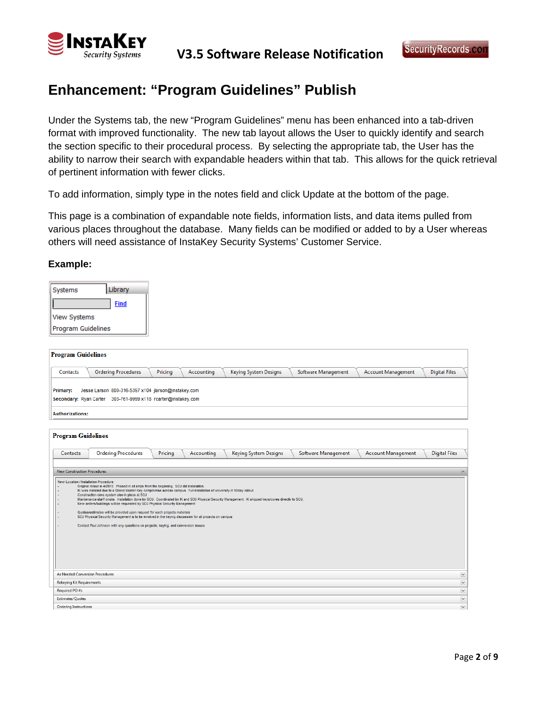

### **Enhancement: "Program Guidelines" Publish**

Under the Systems tab, the new "Program Guidelines" menu has been enhanced into a tab-driven format with improved functionality. The new tab layout allows the User to quickly identify and search the section specific to their procedural process. By selecting the appropriate tab, the User has the ability to narrow their search with expandable headers within that tab. This allows for the quick retrieval of pertinent information with fewer clicks.

To add information, simply type in the notes field and click Update at the bottom of the page.

This page is a combination of expandable note fields, information lists, and data items pulled from various places throughout the database. Many fields can be modified or added to by a User whereas others will need assistance of InstaKey Security Systems' Customer Service.

#### **Example:**

| Systems                   | Library     |
|---------------------------|-------------|
|                           | <b>Find</b> |
| <b>View Systems</b>       |             |
| <b>Program Guidelines</b> |             |

| <b>Program Guidelines</b>                                                                                                                                                                                                                                                                                                                                                                                                                                                                                                                                                                                                                                                                                                                                                                                                                                             |
|-----------------------------------------------------------------------------------------------------------------------------------------------------------------------------------------------------------------------------------------------------------------------------------------------------------------------------------------------------------------------------------------------------------------------------------------------------------------------------------------------------------------------------------------------------------------------------------------------------------------------------------------------------------------------------------------------------------------------------------------------------------------------------------------------------------------------------------------------------------------------|
| <b>Ordering Procedures</b><br>Keying System Designs<br>Software Management<br><b>Account Management</b><br><b>Digital Files</b><br>Pricing<br>Accounting<br>Contacts                                                                                                                                                                                                                                                                                                                                                                                                                                                                                                                                                                                                                                                                                                  |
| Jesse Larson 800-316-5397 x104 jlarson@instakey.com<br>Primary:<br>Secondary: Ryan Carter 303-761-9999 x118 rcarter@instakey.com                                                                                                                                                                                                                                                                                                                                                                                                                                                                                                                                                                                                                                                                                                                                      |
| <b>Authorizations:</b>                                                                                                                                                                                                                                                                                                                                                                                                                                                                                                                                                                                                                                                                                                                                                                                                                                                |
| <b>Program Guidelines</b>                                                                                                                                                                                                                                                                                                                                                                                                                                                                                                                                                                                                                                                                                                                                                                                                                                             |
| <b>Digital Files</b><br><b>Ordering Procedures</b><br>Pricing<br>Keying System Designs<br>Software Management<br><b>Account Management</b><br>Contacts<br>Accounting                                                                                                                                                                                                                                                                                                                                                                                                                                                                                                                                                                                                                                                                                                  |
| <b>New Construction Procedures</b><br>New Location / Installation Procedure:<br>Original rollout in 4/2010. Phased in all amps from the beginning. SCU did installation.<br>IK was installed due to a Grand Master Key compromise across campus. Full installation of university in 90day rollout.<br>Construction core system also in place at SCU<br>Maintenance staff onsite. Installation done by SCU. Coordinated by IK and SCU Physical Security Management. IK shipped keys/cores directly to SCU.<br>New orders/buildings will be requested by SCU Physical Security Management<br>Quotes/estimates will be provided upon request for each projects materials<br>SCU Physical Security Management is to be involved in the keying discussion for all projects on campus<br>Contact Paul Johnson with any questions on projects, keying, and conversion issues |
| As Needed Conversion Procedures<br>$\breve{~}$                                                                                                                                                                                                                                                                                                                                                                                                                                                                                                                                                                                                                                                                                                                                                                                                                        |
| $\breve{~}$<br>Rekeying Kit Requirements<br>$\breve{~}$<br>Required PO #s                                                                                                                                                                                                                                                                                                                                                                                                                                                                                                                                                                                                                                                                                                                                                                                             |
| $\overline{\phantom{0}}$<br>Estimates/Quotes                                                                                                                                                                                                                                                                                                                                                                                                                                                                                                                                                                                                                                                                                                                                                                                                                          |
| $\overline{\vee}$<br><b>Ordering Instructions</b>                                                                                                                                                                                                                                                                                                                                                                                                                                                                                                                                                                                                                                                                                                                                                                                                                     |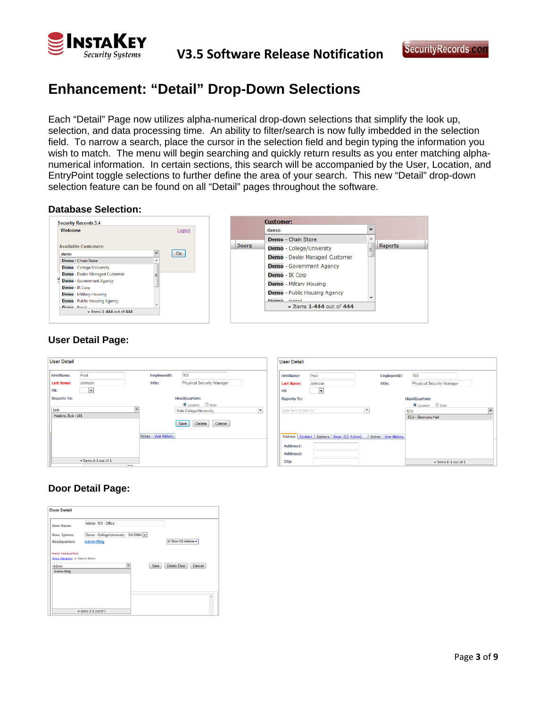

**V3.5 Software Release Notification**

### **Enhancement: "Detail" Drop-Down Selections**

Each "Detail" Page now utilizes alpha-numerical drop-down selections that simplify the look up, selection, and data processing time. An ability to filter/search is now fully imbedded in the selection field. To narrow a search, place the cursor in the selection field and begin typing the information you wish to match. The menu will begin searching and quickly return results as you enter matching alphanumerical information. In certain sections, this search will be accompanied by the User, Location, and EntryPoint toggle selections to further define the area of your search. This new "Detail" drop-down selection feature can be found on all "Detail" pages throughout the software.

#### **Database Selection:**

| Welcome                                          | Logout |              | demo                                         | $\overline{\phantom{a}}$ |                |
|--------------------------------------------------|--------|--------------|----------------------------------------------|--------------------------|----------------|
|                                                  |        |              | <b>Demo</b> - Chain Store                    | ▴                        |                |
| <b>Available Customers:</b>                      |        | <b>Doors</b> | Demo - College/University                    | Ξ                        | <b>Reports</b> |
| demo<br>Demo - Chain Store                       | Go     |              | Demo - Dealer Managed Customer               |                          |                |
| <b>Demo</b> - College/University                 |        |              | <b>Demo</b> - Government Agency              |                          |                |
| Demo - Dealer Managed Customer                   |        |              | <b>Demo</b> - IK Corp                        |                          |                |
| <b>Demo</b> - Government Agency                  |        |              | <b>Demo</b> - Military Housing               |                          |                |
| Demo - IK Corp<br><b>Demo</b> - Military Housing |        |              | <b>Demo</b> - Public Housing Agency          |                          |                |
| <b>Demo</b> - Public Housing Agency              |        |              | Dome Detail                                  |                          |                |
| Dome Patall<br>$\star$ items 1-444 out of 444    |        |              | $\blacktriangleright$ Items 1-444 out of 444 |                          |                |

### **User Detail Page:**

| <b>User Detail</b>                              |                                              |                              |                                                                                                          |              | <b>User Detail</b>                             |                                           |                              |                                                                                      |
|-------------------------------------------------|----------------------------------------------|------------------------------|----------------------------------------------------------------------------------------------------------|--------------|------------------------------------------------|-------------------------------------------|------------------------------|--------------------------------------------------------------------------------------|
| <b>FirstName:</b><br><b>Last Name:</b>          | Paul<br>Johnson                              | EmployeeID:<br><b>Title:</b> | 103<br><b>Physical Security Manager</b>                                                                  |              | <b>FirstName:</b><br><b>Last Name:</b>         | Paul<br>Johnson                           | EmployeeID:<br><b>Title:</b> | 103<br>Physical Security Manager                                                     |
| MI:                                             | $\mathbf{r}$                                 |                              |                                                                                                          |              | MI:                                            | $\overline{\phantom{a}}$                  |                              |                                                                                      |
| <b>Reports To:</b><br>bob<br>Haskins, Bob - 101 |                                              |                              | <b>HeadQuarters:</b><br>C Location C Door<br><b>State College/University</b><br>Cancel<br>Save<br>Delete | $\mathbf{v}$ | <b>Reports To:</b><br>type here to filter list |                                           | $\overline{\phantom{a}}$     | <b>HeadQuarters:</b><br><b>O</b> Location © Door<br>SCU<br><b>SCU - Simmons Hall</b> |
|                                                 | $\star$ Items 1-1 out of 1<br>$\overline{ }$ | Notes User History           |                                                                                                          |              | Address1:<br>Address2:<br>City:                | Address Contact Options Keys: 2(2 Active) | Notes User History           | $\star$ Items 1-1 out of 1                                                           |

### **Door Detail Page:**

| Door Name:    | Admin: 103 - Office                  |                      |
|---------------|--------------------------------------|----------------------|
| Door System:  | Demo - College/University - 3M GMK - |                      |
| Headquarters: | <b>Admin Bldg</b>                    | El Show HQ Address = |
| Admin Bldg    |                                      |                      |
|               |                                      |                      |
|               |                                      |                      |
|               |                                      |                      |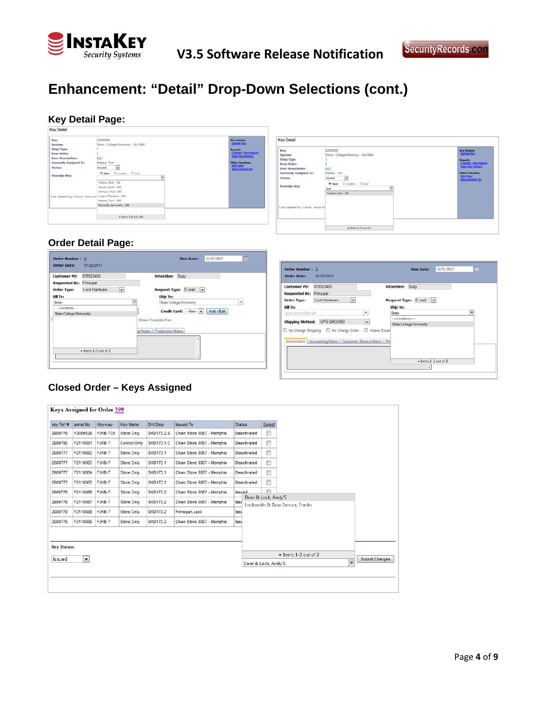

# **Enhancement: "Detail" Drop-Down Selections (cont.)**

# **Key Detail Page:**

| Key:                              | D2066806                           | <b>Key Actions</b>                        |
|-----------------------------------|------------------------------------|-------------------------------------------|
| System:                           | Demo - College/University - 3M GMK | <b>Update Key</b>                         |
| Step/Type                         |                                    | <b>Reports</b>                            |
| From Order:                       |                                    | <b>Cylinder / Key Report</b>              |
| <b>Door Association:</b>          | AA1                                | View Key History                          |
| <b>Currently Assigned To:</b>     | Rallater. Tom                      | <b>Other Functions</b>                    |
| Status:                           | Issued<br>×                        | <b>Add User</b><br><b>Attachments (0)</b> |
| Reassign Key:                     | <b>Wilser</b> Clocaton Cloor       |                                           |
|                                   | Haskins, Bob - 101                 |                                           |
|                                   | Jacobs, Susan - 102                |                                           |
|                                   | Johnson, Paul - 103                |                                           |
| Last Updated by: Larson, Jesse on | Logan, Theodore - 104              |                                           |
|                                   | Rallater, Tom - 105                |                                           |
|                                   | Reynolds, Samantha - 106           |                                           |
|                                   |                                    |                                           |
|                                   | $\star$ hems 1-6 out of 6          |                                           |

| Demo - College/University - 3M GMK<br><b>Reports</b><br><b>Cylinder / Key Report</b><br><b>View Key History</b><br>AA1<br><b>Other Functions</b><br>Rallater, Tom<br><b>Add User</b><br>Issued<br>×<br><b>Attachments (0)</b><br><b>Oldser</b> © Location © Door<br><b>Reassign Key:</b><br>bob<br>۰<br>Haskins, Bob - 101 | Key:                              | D2066806 | <b>Key Actions</b> |
|----------------------------------------------------------------------------------------------------------------------------------------------------------------------------------------------------------------------------------------------------------------------------------------------------------------------------|-----------------------------------|----------|--------------------|
|                                                                                                                                                                                                                                                                                                                            | System:                           |          | <b>Update Key</b>  |
|                                                                                                                                                                                                                                                                                                                            | Step/Type                         |          |                    |
|                                                                                                                                                                                                                                                                                                                            | <b>From Order:</b>                |          |                    |
|                                                                                                                                                                                                                                                                                                                            | <b>Door Association:</b>          |          |                    |
|                                                                                                                                                                                                                                                                                                                            | <b>Currently Assigned To:</b>     |          |                    |
|                                                                                                                                                                                                                                                                                                                            | Status:                           |          |                    |
|                                                                                                                                                                                                                                                                                                                            |                                   |          |                    |
|                                                                                                                                                                                                                                                                                                                            |                                   |          |                    |
|                                                                                                                                                                                                                                                                                                                            |                                   |          |                    |
|                                                                                                                                                                                                                                                                                                                            |                                   |          |                    |
|                                                                                                                                                                                                                                                                                                                            |                                   |          |                    |
|                                                                                                                                                                                                                                                                                                                            | Last Updated by: Larson, Jesse on |          |                    |
|                                                                                                                                                                                                                                                                                                                            |                                   |          |                    |
|                                                                                                                                                                                                                                                                                                                            |                                   |          |                    |
|                                                                                                                                                                                                                                                                                                                            |                                   |          |                    |
|                                                                                                                                                                                                                                                                                                                            |                                   |          |                    |
|                                                                                                                                                                                                                                                                                                                            |                                   |          |                    |

### **Order Detail Page:**

| <b>Customer PO:</b>                                | 078923465                      | <b>Attention: Suzy</b>                                                               |
|----------------------------------------------------|--------------------------------|--------------------------------------------------------------------------------------|
| <b>Requested By: Principal</b>                     |                                |                                                                                      |
| <b>Order Type:</b>                                 | <b>Lock Hardware</b><br>$\sim$ | Request Type: E-mail -                                                               |
| <b>Bill To:</b>                                    |                                | Ship To:                                                                             |
| State                                              |                                | ٠<br>State College/University                                                        |
| ---Locations---<br><b>State College/University</b> |                                | Add / Edit<br>Credit Card: -New- -<br>Waive Expedite Fee<br>e Notes Production Notes |
|                                                    | $-$ Items 1-2 out of 2         |                                                                                      |

| <b>Order Number: 5</b><br><b>Order Date:</b>                      | 07/22/2013                                                                        |   | 12/31/2013<br><b>Due Date:</b>              | m |
|-------------------------------------------------------------------|-----------------------------------------------------------------------------------|---|---------------------------------------------|---|
| <b>Customer PO:</b><br><b>Requested By: Principal</b>             | 078923465                                                                         |   | <b>Attention: Suzy</b>                      |   |
| <b>Order Type:</b><br><b>Bill To:</b><br>type here to filter list | <b>Lock Hardware</b><br>٠                                                         | ٠ | Request Type: E-mail -<br>Ship To:<br>State |   |
|                                                                   | Shipping Method: UPS GROUND<br>No Charge Shipping   No Charge Order   Waive Exped | ۰ | ---Locations---<br>State College/University |   |
|                                                                   | Instructions   Accounting Notes   Customer Service Notes   Pri                    |   |                                             |   |
|                                                                   |                                                                                   |   | $-$ Items 1-2 out of 2                      |   |
|                                                                   |                                                                                   |   |                                             |   |

### **Closed Order – Keys Assigned**

|                    |                        | <b>Keys Assigned for Order 399</b> |                     |                   |                            |               |                     |                          |                                  |                |
|--------------------|------------------------|------------------------------------|---------------------|-------------------|----------------------------|---------------|---------------------|--------------------------|----------------------------------|----------------|
| key Ref#           | serial No              | Keyway                             | <b>Key Name</b>     | DHI.Step          | <b>Issued To</b>           | <b>Status</b> |                     | Select                   |                                  |                |
| 2989779            | F2099529               | FJKB-7C5                           | <b>Store Only</b>   | <b>SKD173.2.S</b> | Chain Store 0067 - Memphis |               | <b>Deactivated</b>  | $\Box$                   |                                  |                |
| 2989780            | F2110881               | FJKB-7                             | <b>Control Only</b> | <b>SKD173.1.C</b> | Chain Store 0067 - Memphis |               | <b>Deactivated</b>  | $\Box$                   |                                  |                |
| 2989777            | F2110882               | FJKB-7                             | <b>Store Only</b>   | <b>SKD173.1</b>   | Chain Store 0067 - Memphis |               | <b>Deactivated</b>  | $\Box$                   |                                  |                |
| 2989777            | F2110883               | FJKB-7                             | <b>Store Only</b>   | <b>SKD173.1</b>   | Chain Store 0067 - Memphis |               | <b>Deactivated</b>  | $\overline{\phantom{a}}$ |                                  |                |
| 2989777            | F2110884               | FJKB-7                             | <b>Store Only</b>   | <b>SKD173.1</b>   | Chain Store 0067 - Memphis |               | <b>Deactivated</b>  | $\Box$                   |                                  |                |
| 2989777            | F2110885               | FJKB-7                             | <b>Store Only</b>   | <b>SKD173.1</b>   | Chain Store 0067 - Memphis |               | <b>Deactivated</b>  | $\Box$                   |                                  |                |
| 2989778            | F2110886               | FJKB-7                             | <b>Store Only</b>   | <b>SKD173.2</b>   | Chain Store 0067 - Memphis | <b>Issued</b> |                     | $\equiv$                 |                                  |                |
| 2989778            | F2110887               | FJKB-7                             | <b>Store Only</b>   | <b>SKD173.2</b>   | Chain Store 0067 - Memphis | <b>Issu</b>   | Door & Lock, Andy'S |                          | Locksmith & Door Service, Franks |                |
| 2989778            | F2110888               | FJKB-7                             | <b>Store Only</b>   | <b>SKD173.2</b>   | Finnegan, Jack             | <b>Issu</b>   |                     |                          |                                  |                |
| 2989778            | F2110889 FJKB-7        |                                    | <b>Store Only</b>   | <b>SKD173.2</b>   | Chain Store 0067 - Memphis | <b>Issu</b>   |                     |                          |                                  |                |
|                    |                        |                                    |                     |                   |                            |               |                     |                          |                                  |                |
|                    |                        |                                    |                     |                   |                            |               |                     |                          |                                  |                |
| <b>Key Status:</b> |                        |                                    |                     |                   |                            |               |                     |                          | $\star$ Items 1-2 out of 2       |                |
| <b>Issued</b>      | $\left  \cdot \right $ |                                    |                     |                   |                            |               | Door & Lock, Andy'S |                          | $\overline{\phantom{a}}$         | Submit Changes |
|                    |                        |                                    |                     |                   |                            |               |                     |                          |                                  |                |
|                    |                        |                                    |                     |                   |                            |               |                     |                          |                                  |                |
|                    |                        |                                    |                     |                   |                            |               |                     |                          |                                  |                |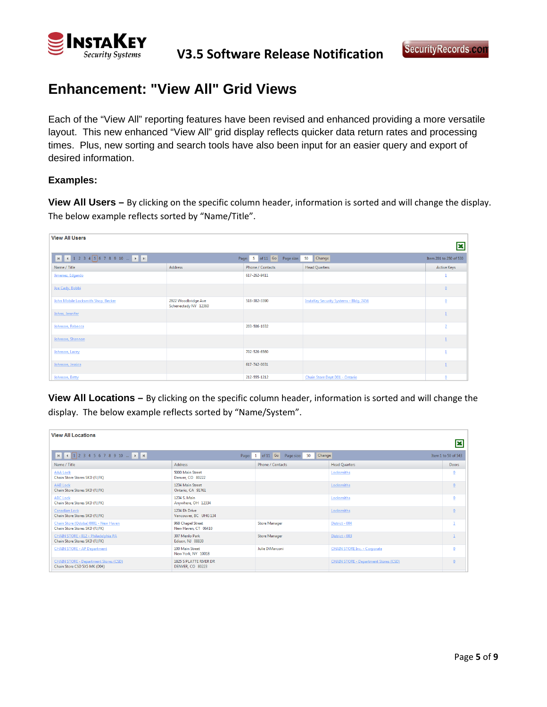

### **Enhancement: "View All" Grid Views**

Each of the "View All" reporting features have been revised and enhanced providing a more versatile layout. This new enhanced "View All" grid display reflects quicker data return rates and processing times. Plus, new sorting and search tools have also been input for an easier query and export of desired information.

### **Examples:**

**View All Users –** By clicking on the specific column header, information is sorted and will change the display. The below example reflects sorted by "Name/Title".

| <b>View All Users</b>              |                                             |                             |                                               | lх                     |
|------------------------------------|---------------------------------------------|-----------------------------|-----------------------------------------------|------------------------|
|                                    |                                             | Page: 5 of 11 Go Page size: | Change<br>50                                  | Item 201 to 250 of 530 |
| Name / Title                       | Address                                     | Phone / Contacts            | <b>Head Quarters</b>                          | <b>Active Keys</b>     |
| Jimenez, Edgardo                   |                                             | 617-262-9411                |                                               |                        |
| Joe Cady, Bobbi                    |                                             |                             |                                               | $\mathbf{0}$           |
| John Mobile Locksmith Shop, Becker | 2922 Woodbridge Ave<br>Schenectady NY 12360 | 518-382-3390                | <b>InstaKey Security Systems - Bldg. 7456</b> | $\mathbf{0}$           |
| Johns, Jennifer                    |                                             |                             |                                               |                        |
| Johnson, Rebecca                   |                                             | 203-506-1032                |                                               |                        |
| Johnson, Shannon                   |                                             |                             |                                               |                        |
| Johnson, Lacey                     |                                             | 702-526-6560                |                                               |                        |
| Johnson, Jessica                   |                                             | 617-742-0031                |                                               |                        |
| Johnson, Betty                     |                                             | 212-555-1212                | Chain Store Dept D01 - Ontario                | $\Omega$               |

**View All Locations –** By clicking on the specific column header, information is sorted and will change the display. The below example reflects sorted by "Name/System".

| <b>View All Locations</b>                                                    |                                           |                                  |                                              | İΧ                  |
|------------------------------------------------------------------------------|-------------------------------------------|----------------------------------|----------------------------------------------|---------------------|
| $H$ $(1)$ 2 3 4 5 6 7 8 9 10 $\ldots$ $H$ $H$                                | Page:                                     | of 11 Go Page size: 50<br>Change |                                              | Item 1 to 50 of 543 |
| Name / Title                                                                 | Address                                   | <b>Phone / Contacts</b>          | <b>Head Quarters</b>                         | <b>Doors</b>        |
| <b>AAA Lock</b><br>Chain Store Stores SKD (FJ,FK)                            | 5000 Main Street<br>Denver, CO 80222      |                                  | Locksmiths                                   | $\mathbf{0}$        |
| <b>AAB Lock</b><br>Chain Store Stores SKD (FJ,FK)                            | 1234 Main Street<br>Ontario, CA 91761     |                                  | Locksmiths                                   | $\mathbf{0}$        |
| <b>ABC Lock</b><br>Chain Store Stores SKD (FJ,FK)                            | 1234 S. Main<br>Anywhere, OH 12334        |                                  | Locksmiths                                   | $\mathbf{0}$        |
| Canadian Lock<br>Chain Store Stores SKD (FJ,FK)                              | 1234 Eh Drive<br>Vancouver, BC UHG 134    |                                  | Locksmiths                                   | $\Omega$            |
| Chain Store (Qdoba) 0001 - New Haven<br>Chain Store Stores SKD (FJ,FK)       | 968 Chapel Street<br>New Haven, CT 06410  | <b>Store Manager</b>             | District - 004                               |                     |
| CHAIN STORE - 012 - Philadelphia PA<br>Chain Store Stores SKD (FJ,FK)        | 307 Menlo Park<br>Edison, NJ 08830        | <b>Store Manager</b>             | District - 003                               |                     |
| <b>CHAIN STORE - AP Department</b>                                           | 100 Main Street<br>New York, NY 10018     | Julie DiMarconi                  | <b>CHAIN STORE Inc. - Corporate</b>          | $\mathbf{0}$        |
| <b>CHAIN STORE - Department Stores (CSD)</b><br>Chain Store CSD 5X5 MK (D04) | 1825 S PLATTE RIVER DR<br>DENVER CO 80223 |                                  | <b>CHAIN STORE - Department Stores (CSD)</b> | $\Omega$            |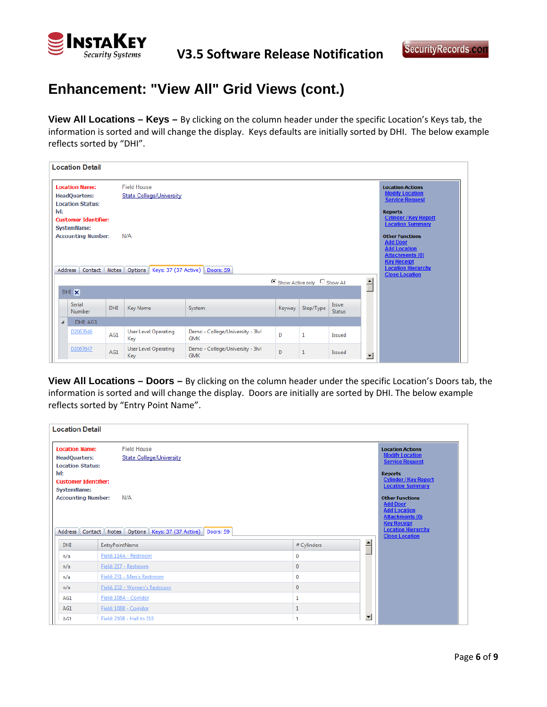

## **Enhancement: "View All" Grid Views (cont.)**

**View All Locations – Keys –** By clicking on the column header under the specific Location's Keys tab, the information is sorted and will change the display. Keys defaults are initially sorted by DHI. The below example reflects sorted by "DHI".

|                                                                                                                                   | <b>Location Detail</b>                            |            |                                    |                                                |        |                                                                                               |                               |                                                                                                                                                                        |                                                         |
|-----------------------------------------------------------------------------------------------------------------------------------|---------------------------------------------------|------------|------------------------------------|------------------------------------------------|--------|-----------------------------------------------------------------------------------------------|-------------------------------|------------------------------------------------------------------------------------------------------------------------------------------------------------------------|---------------------------------------------------------|
| <b>Location Name:</b><br><b>Field House</b><br><b>State College/University</b><br><b>HeadQuarters:</b><br><b>Location Status:</b> |                                                   |            |                                    |                                                |        | <b>Location Actions</b><br><b>Modify Location</b><br><b>Service Request</b><br><b>Reports</b> |                               |                                                                                                                                                                        |                                                         |
| lvl:                                                                                                                              | <b>Customer Identifier:</b><br><b>SystemName:</b> |            |                                    |                                                |        |                                                                                               |                               |                                                                                                                                                                        | <b>Cylinder / Key Report</b><br><b>Location Summary</b> |
| <b>Accounting Number:</b><br>N/A<br>Address   Contact   Notes   Options   Keys: 37 (37 Active)   Doors: 59                        |                                                   |            |                                    |                                                |        |                                                                                               |                               | <b>Other Functions</b><br><b>Add Door</b><br><b>Add Location</b><br><b>Attachments (0)</b><br><b>Key Receipt</b><br><b>Location Hierarchy</b><br><b>Close Location</b> |                                                         |
|                                                                                                                                   | DHI X                                             |            |                                    |                                                |        | C Show Active only C Show All                                                                 |                               | $\triangleq$                                                                                                                                                           |                                                         |
|                                                                                                                                   | <b>Serial</b><br><b>Number</b>                    | <b>DHI</b> | Key Name                           | System                                         | Keyway | Step/Type                                                                                     | <b>Issue</b><br><b>Status</b> |                                                                                                                                                                        |                                                         |
| $\blacktriangleleft$                                                                                                              | DHI: AG1                                          |            |                                    |                                                |        |                                                                                               |                               |                                                                                                                                                                        |                                                         |
|                                                                                                                                   | D2067646                                          | AG1        | <b>User Level Operating</b><br>Key | Demo - College/University - 3lvl<br><b>GMK</b> | D      | 1                                                                                             | Issued                        |                                                                                                                                                                        |                                                         |
|                                                                                                                                   | D2067647                                          | AG1        | User Level Operating<br>Key        | Demo - College/University - 3lvl<br><b>GMK</b> | D      | 1                                                                                             | Issued                        | $\overline{\phantom{a}}$                                                                                                                                               |                                                         |

**View All Locations – Doors –** By clicking on the column header under the specific Location's Doors tab, the information is sorted and will change the display. Doors are initially are sorted by DHI. The below example reflects sorted by "Entry Point Name".

| <b>Location Detail</b>                                                                                                                                                               |                                                                                                                                  |              |                                                                                                                                                                                                                                                                                                                                    |
|--------------------------------------------------------------------------------------------------------------------------------------------------------------------------------------|----------------------------------------------------------------------------------------------------------------------------------|--------------|------------------------------------------------------------------------------------------------------------------------------------------------------------------------------------------------------------------------------------------------------------------------------------------------------------------------------------|
| <b>Location Name:</b><br><b>HeadQuarters:</b><br><b>Location Status:</b><br>lvl:<br><b>Customer Identifier:</b><br><b>SystemName:</b><br><b>Accounting Number:</b><br><b>Address</b> | <b>Field House</b><br><b>State College/University</b><br>N/A<br>Contact    Notes    Options    Keys: 37 (37 Active)    Doors: 59 |              | <b>Location Actions</b><br><b>Modify Location</b><br><b>Service Request</b><br><b>Reports</b><br><b>Cylinder / Key Report</b><br><b>Location Summary</b><br><b>Other Functions</b><br><b>Add Door</b><br><b>Add Location</b><br><b>Attachments (0)</b><br><b>Key Receipt</b><br><b>Location Hierarchy</b><br><b>Close Location</b> |
| DHI                                                                                                                                                                                  | <b>EntryPointName</b>                                                                                                            | # Cylinders  | $\overline{\phantom{0}}$                                                                                                                                                                                                                                                                                                           |
| n/a                                                                                                                                                                                  | Field: 114A - Restroom                                                                                                           | 0            |                                                                                                                                                                                                                                                                                                                                    |
| n/a                                                                                                                                                                                  | Field: 217 - Restroom                                                                                                            | 0            |                                                                                                                                                                                                                                                                                                                                    |
| n/a                                                                                                                                                                                  | Field: 231 - Men's Restroom                                                                                                      | 0            |                                                                                                                                                                                                                                                                                                                                    |
| n/a                                                                                                                                                                                  | Field: 232 - Women's Restroom                                                                                                    | 0            |                                                                                                                                                                                                                                                                                                                                    |
| AG1                                                                                                                                                                                  | Field: 108A - Corridor                                                                                                           | 1            |                                                                                                                                                                                                                                                                                                                                    |
| AG1                                                                                                                                                                                  | Field: 108B - Corridor                                                                                                           | $\mathbf{1}$ |                                                                                                                                                                                                                                                                                                                                    |
| AG1                                                                                                                                                                                  | Field: 210B - Hall to 210                                                                                                        | 1            | $\overline{\phantom{a}}$                                                                                                                                                                                                                                                                                                           |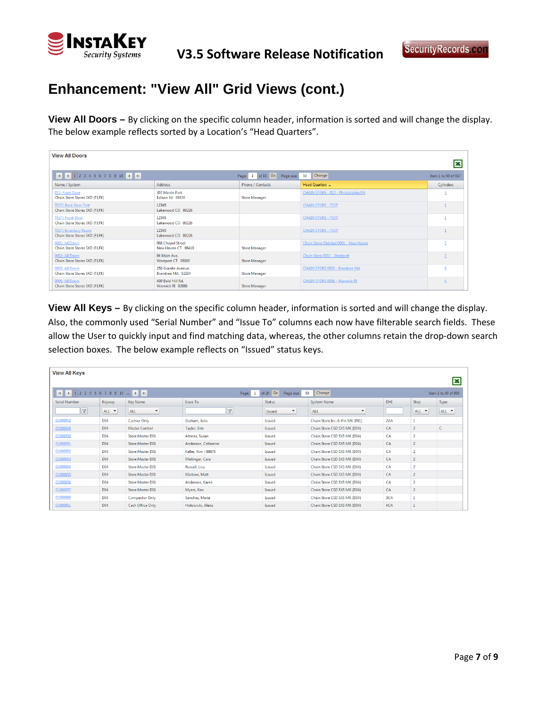

# **Enhancement: "View All" Grid Views (cont.)**

**View All Doors –** By clicking on the specific column header, information is sorted and will change the display. The below example reflects sorted by a Location's "Head Quarters".

| <b>View All Doors</b>                                          |                                          |                                |                                      | İΧ                  |
|----------------------------------------------------------------|------------------------------------------|--------------------------------|--------------------------------------|---------------------|
|                                                                |                                          | Page: 1 of 10 Go<br>Page size: | Change<br>50                         | Item 1 to 50 of 487 |
| Name / System                                                  | <b>Address</b>                           | Phone / Contacts               | Head Quarters &                      | Cylinders           |
| 012: Front Door<br>Chain Store Stores SKD (FJ,FK)              | 307 Menlo Park<br>Edison NJ 08830        | <b>Store Manager</b>           | CHAIN STORE - 012 - Philadelphia PA  |                     |
| <b>TEST: Back Door Test</b><br>Chain Store Stores SKD (FJ,FK)  | 12345<br>Lakewood CO 80226               |                                | <b>CHAIN STORE - TEST</b>            |                     |
| <b>TEST: Front Door</b><br>Chain Store Stores SKD (FJ,FK)      | 12345<br>Lakewood CO 80226               |                                | <b>CHAIN STORE - TEST</b>            |                     |
| <b>TEST: Inventory Room</b><br>Chain Store Stores SKD (FJ, FK) | 12345<br>Lakewood CO 80226               |                                | <b>CHAIN STORE - TEST</b>            |                     |
| 0001: All Doors<br>Chain Store Stores SKD (FJ,FK)              | 968 Chapel Street<br>New Haven CT 06410  | <b>Store Manager</b>           | Chain Store (Qdoba) 0001 - New Haven |                     |
| 0002: All Doors<br>Chain Store Stores SKD (FJ,FK)              | 94 Main Ave.<br>Westport CT 06880        | <b>Store Manager</b>           | Chain Store 0002 - Westport          |                     |
| 0005: All Doors<br>Chain Store Stores SKD (FJ,FK)              | 250 Granite Avenue<br>Braintree MA 02184 | <b>Store Manager</b>           | CHAIN STORE 0005 - Braintree MA      | $6 \overline{6}$    |
| 0006: All Doors<br>Chain Store Stores SKD (FJ, FK)             | 400 Bald Hill Rd.<br>Warwick RI 02886    | <b>Store Manager</b>           | CHAIN STORE 0006 - Warwick RI        | 6                   |

**View All Keys –** By clicking on the specific column header, information is sorted and will change the display. Also, the commonly used "Serial Number" and "Issue To" columns each now have filterable search fields. These allow the User to quickly input and find matching data, whereas, the other columns retain the drop-down search selection boxes. The below example reflects on "Issued" status keys.

| <b>View All Keys</b>           |                 |                             |                       |                                |                                 |            |                |                          |  |
|--------------------------------|-----------------|-----------------------------|-----------------------|--------------------------------|---------------------------------|------------|----------------|--------------------------|--|
| $M$ 4 1 2 3 4 5 6 7 8 9 10 $M$ |                 |                             | $\mathbf{1}$<br>Page: | of $20$ Go<br>50<br>Page size: | Change                          |            |                | x<br>Item 1 to 50 of 955 |  |
| Serial Number                  | Keyway          | Key Name                    | Issue To              | <b>Status</b>                  | System Name                     | <b>DHI</b> | Step           | Type                     |  |
| Y                              | ALL <b>T</b>    | ALL<br>$\blacktriangledown$ | $\mathbb{Y}$          | $\blacktriangledown$<br>Issued | ALL<br>۰                        |            | ALL <b>T</b>   | ALL $\rightarrow$        |  |
| D1000042                       | <b>D04</b>      | <b>Cashier Only</b>         | Graham, Julie         | Issued                         | Chain Store Inc. 6-Pin MK (F01) | 2AA        |                |                          |  |
| D1000048                       | D <sub>04</sub> | <b>Master Control</b>       | Taylor, Erin          | Issued                         | Chain Store CSD 5X5 MK (D04)    | CA         | $\overline{2}$ | c                        |  |
| D1000050                       | <b>D04</b>      | <b>Store Master D01</b>     | Altmas, Susan         | Issued                         | Chain Store CSD 5X5 MK (D04)    | CA         | $\overline{2}$ |                          |  |
| D1000051                       | D04             | <b>Store Master D01</b>     | Anderson, Catherine   | Issued                         | Chain Store CSD 5X5 MK (D04)    | CA         | $\overline{2}$ |                          |  |
| D1000052                       | D04             | <b>Store Master D01</b>     | Keller, Kim - 88874   | Issued                         | Chain Store CSD 5X5 MK (D04)    | CA         | $\overline{2}$ |                          |  |
| D1000053                       | D <sub>04</sub> | <b>Store Master D01</b>     | Matlinger, Cara       | Issued                         | Chain Store CSD 5X5 MK (D04)    | CA         | $\overline{2}$ |                          |  |
| D1000054                       | <b>D04</b>      | <b>Store Master D01</b>     | Russell, Lisa         | Issued                         | Chain Store CSD 5X5 MK (D04)    | CA         | $\overline{2}$ |                          |  |
| D1000055                       | D <sub>04</sub> | <b>Store Master D01</b>     | Markow, Matt          | Issued                         | Chain Store CSD 5X5 MK (D04)    | CA         | $\overline{2}$ |                          |  |
| D1000056                       | D <sub>04</sub> | <b>Store Master D01</b>     | Anderson, Karen       | Issued                         | Chain Store CSD 5X5 MK (D04)    | CA         | 2              |                          |  |
| D1000057                       | D <sub>04</sub> | <b>Store Master D01</b>     | Myers, Ken            | Issued                         | Chain Store CSD 5X5 MK (D04)    | CA         | $\overline{2}$ |                          |  |
| D1000060                       | D <sub>04</sub> | <b>Compactor Only</b>       | Sanchez, Maria        | Issued                         | Chain Store CSD 5X5 MK (D04)    | 3CA        |                |                          |  |
| D1000061                       | D <sub>04</sub> | Cash Office Only            | Holowicki, Alexis     | Issued                         | Chain Store CSD 5X5 MK (D04)    | 4CA        | 1              |                          |  |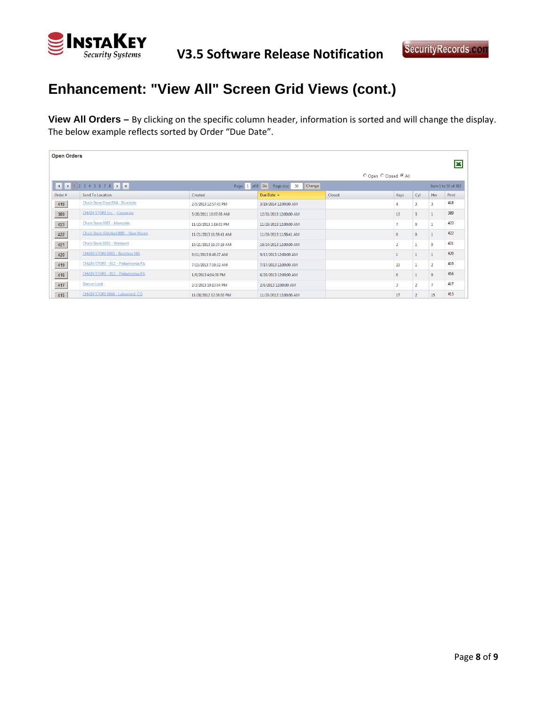

# **Enhancement: "View All" Screen Grid Views (cont.)**

**View All Orders –** By clicking on the specific column header, information is sorted and will change the display. The below example reflects sorted by Order "Due Date".

| <b>Open Orders</b> |                                      |                        |                                                |        |                |                         |                |                     |  |  |  |
|--------------------|--------------------------------------|------------------------|------------------------------------------------|--------|----------------|-------------------------|----------------|---------------------|--|--|--|
|                    |                                      |                        |                                                |        |                |                         |                | x                   |  |  |  |
|                    | O Open C Closed C All                |                        |                                                |        |                |                         |                |                     |  |  |  |
|                    | H 4 1 2 3 4 5 6 7 8 P H              |                        | Page: 1 of 8 Go Page size: 50<br><b>Change</b> |        |                |                         |                | Item 1 to 50 of 363 |  |  |  |
| Order#             | Send To Location                     | Created                | Due Date -                                     | Closed | Keys           | Cyl                     | Hw             | Print               |  |  |  |
| 418                | Chain Store Dept D04 - Riverside     | 2/5/2013 12:57:43 PM   | 3/19/2014 12:00:00 AM                          |        |                | В                       | R              | 418                 |  |  |  |
| 389                | <b>CHAIN STORE Inc. - Corporate</b>  | 5/20/2011 10:07:36 AM  | 12/31/2013 12:00:00 AM                         |        | 13             | $\overline{\mathbf{3}}$ |                | 389                 |  |  |  |
| 423                | Chain Store 0067 - Memphis           | 11/25/2013 3:19:03 PM  | 11/28/2013 12:00:00 AM                         |        | $\overline{7}$ | $\mathbf{0}$            |                | 423                 |  |  |  |
| 422                | Chain Store (Odoba) 0001 - New Haven | 11/21/2013 11:56:41 AM | 11/26/2013 11:56:41 AM                         |        | $\mathbf{0}$   | $\mathbf{0}$            | $\mathbf{1}$   | 422                 |  |  |  |
| 421                | Chain Store 0002 - Westport          | 10/21/2013 11:37:29 AM | 10/24/2013 12:00:00 AM                         |        | $\overline{2}$ |                         | $\mathbf 0$    | 421                 |  |  |  |
| 420                | CHAIN STORE 0005 - Braintree MA      | 9/11/2013 8:46:27 AM   | 9/13/2013 12:00:00 AM                          |        |                |                         |                | 420                 |  |  |  |
| 419                | CHAIN STORE - 012 - Philadelphia PA  | 7/15/2013 7:59:32 AM   | 7/17/2013 12:00:00 AM                          |        | 23             |                         | $\overline{2}$ | 419                 |  |  |  |
| 416                | CHAIN STORE - 012 - Philadelphia PA  | 1/9/2013 4:04:38 PM    | 6/28/2013 12:00:00 AM                          |        | $\mathbf{0}$   |                         | $\mathbf{0}$   | 416                 |  |  |  |
| 417                | <b>Denver Lock</b>                   | 2/3/2013 10:13:04 PM   | 2/6/2013 12:00:00 AM                           |        | 3              | $\overline{2}$          | $\overline{7}$ | 417                 |  |  |  |
| 415                | CHAIN STORE 0666 - Lakewood, CO      | 11/28/2012 12:36:00 PM | 11/28/2012 12:00:00 AM                         |        | 17             | $\overline{2}$          | 15             | 415                 |  |  |  |